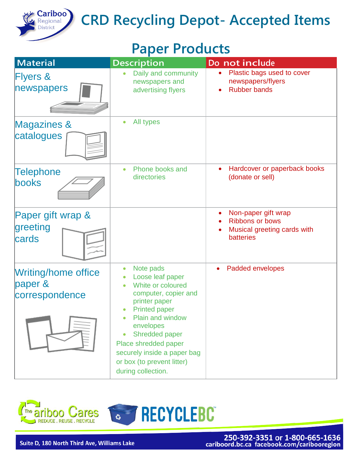

#### **Paper Products**

| <b>Material</b>                                         | <b>Description</b>                                                                                                                                                                                                                                                                                                                                  | Do not include                                                                                   |
|---------------------------------------------------------|-----------------------------------------------------------------------------------------------------------------------------------------------------------------------------------------------------------------------------------------------------------------------------------------------------------------------------------------------------|--------------------------------------------------------------------------------------------------|
| <b>Flyers &amp;</b><br>newspapers                       | Daily and community<br>newspapers and<br>advertising flyers                                                                                                                                                                                                                                                                                         | Plastic bags used to cover<br>newspapers/flyers<br><b>Rubber bands</b>                           |
| <b>Magazines &amp;</b><br>catalogues                    | All types                                                                                                                                                                                                                                                                                                                                           |                                                                                                  |
| Telephone<br>books                                      | Phone books and<br>$\bullet$<br>directories                                                                                                                                                                                                                                                                                                         | Hardcover or paperback books<br>(donate or sell)                                                 |
| Paper gift wrap &<br>greeting<br>cards                  |                                                                                                                                                                                                                                                                                                                                                     | Non-paper gift wrap<br><b>Ribbons or bows</b><br>Musical greeting cards with<br><b>batteries</b> |
| <b>Writing/home office</b><br>paper &<br>correspondence | Note pads<br>$\bullet$<br>Loose leaf paper<br>White or coloured<br>$\bullet$<br>computer, copier and<br>printer paper<br><b>Printed paper</b><br>$\bullet$<br><b>Plain and window</b><br>envelopes<br><b>Shredded paper</b><br>$\bullet$<br>Place shredded paper<br>securely inside a paper bag<br>or box (to prevent litter)<br>during collection. | Padded envelopes<br>$\bullet$                                                                    |

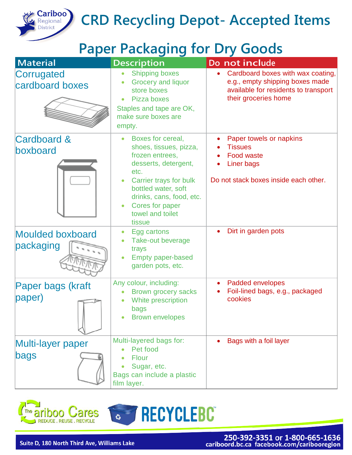

#### **Paper Packaging for Dry Goods**

| <b>Material</b>                      | <b>Description</b>                                                                                                                                                                                                                        | Do not include                                                                                                                       |
|--------------------------------------|-------------------------------------------------------------------------------------------------------------------------------------------------------------------------------------------------------------------------------------------|--------------------------------------------------------------------------------------------------------------------------------------|
| Corrugated<br>cardboard boxes        | <b>Shipping boxes</b><br><b>Grocery and liquor</b><br>store boxes<br>Pizza boxes<br>Staples and tape are OK,<br>make sure boxes are<br>empty.                                                                                             | Cardboard boxes with wax coating,<br>e.g., empty shipping boxes made<br>available for residents to transport<br>their groceries home |
| <b>Cardboard &amp;</b><br>boxboard   | Boxes for cereal,<br>$\bullet$<br>shoes, tissues, pizza,<br>frozen entrees,<br>desserts, detergent,<br>etc.<br>Carrier trays for bulk<br>bottled water, soft<br>drinks, cans, food, etc.<br>Cores for paper<br>towel and toilet<br>tissue | Paper towels or napkins<br><b>Tissues</b><br><b>Food waste</b><br>Liner bags<br>Do not stack boxes inside each other.                |
| <b>Moulded boxboard</b><br>packaging | Egg cartons<br>$\bullet$<br>Take-out beverage<br>trays<br><b>Empty paper-based</b><br>garden pots, etc.                                                                                                                                   | Dirt in garden pots                                                                                                                  |
| Paper bags (kraft<br>paper)          | Any colour, including:<br><b>Brown grocery sacks</b><br>White prescription<br>bags<br><b>Brown envelopes</b>                                                                                                                              | Padded envelopes<br>$\bullet$<br>Foil-lined bags, e.g., packaged<br>cookies                                                          |
| Multi-layer paper<br>bags            | Multi-layered bags for:<br>Pet food<br><b>Flour</b><br>Sugar, etc.<br>Bags can include a plastic<br>film layer.                                                                                                                           | Bags with a foil layer                                                                                                               |



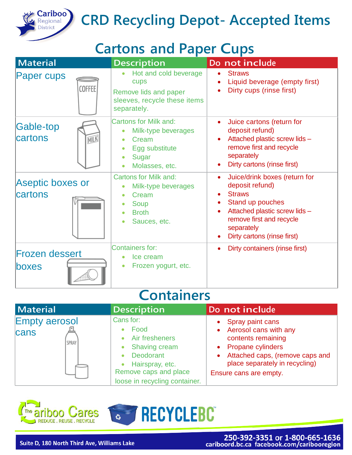

#### **Cartons and Paper Cups**

| <b>Material</b>                     | <b>Description</b>                                                                                        | Do not include                                                                                                                                                                                                            |
|-------------------------------------|-----------------------------------------------------------------------------------------------------------|---------------------------------------------------------------------------------------------------------------------------------------------------------------------------------------------------------------------------|
| <b>Paper cups</b><br><b>COFFEE</b>  | Hot and cold beverage<br>cups<br>Remove lids and paper<br>sleeves, recycle these items<br>separately.     | <b>Straws</b><br>Liquid beverage (empty first)<br>Dirty cups (rinse first)                                                                                                                                                |
| <b>Gable-top</b><br>cartons<br>MILK | <b>Cartons for Milk and:</b><br>Milk-type beverages<br>Cream<br>Egg substitute<br>Sugar<br>Molasses, etc. | Juice cartons (return for<br>$\bullet$<br>deposit refund)<br>Attached plastic screw lids -<br>remove first and recycle<br>separately<br>Dirty cartons (rinse first)<br>$\bullet$                                          |
| <b>Aseptic boxes or</b><br>cartons  | <b>Cartons for Milk and:</b><br>Milk-type beverages<br>Cream<br>Soup<br><b>Broth</b><br>Sauces, etc.      | Juice/drink boxes (return for<br>$\bullet$<br>deposit refund)<br><b>Straws</b><br>Stand up pouches<br>Attached plastic screw lids -<br>$\bullet$<br>remove first and recycle<br>separately<br>Dirty cartons (rinse first) |
| <b>Frozen dessert</b><br>boxes      | <b>Containers for:</b><br>Ice cream<br>Frozen yogurt, etc.<br>$\bullet$                                   | Dirty containers (rinse first)<br>$\bullet$                                                                                                                                                                               |

#### **Containers**

| Material                              | <b>Description</b>                                                                                                                                    | Do not include                                                                                                                                                                                     |
|---------------------------------------|-------------------------------------------------------------------------------------------------------------------------------------------------------|----------------------------------------------------------------------------------------------------------------------------------------------------------------------------------------------------|
| <b>Empty aerosol</b><br>cans<br>SPRAY | Cans for:<br>Food<br>Air fresheners<br><b>Shaving cream</b><br>Deodorant<br>Hairspray, etc.<br>Remove caps and place<br>loose in recycling container. | Spray paint cans<br>Aerosol cans with any<br>$\bullet$<br>contents remaining<br>• Propane cylinders<br>Attached caps, (remove caps and<br>place separately in recycling)<br>Ensure cans are empty. |



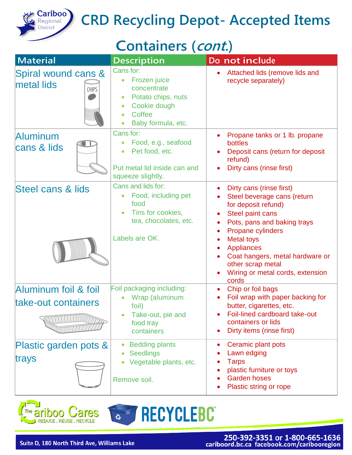

### **Containers (cont.)**

| <b>Material</b>                                   | <b>Description</b>                                                                                                                                                 | Do not include                                                                                                                                                                                                                                                                                               |
|---------------------------------------------------|--------------------------------------------------------------------------------------------------------------------------------------------------------------------|--------------------------------------------------------------------------------------------------------------------------------------------------------------------------------------------------------------------------------------------------------------------------------------------------------------|
| Spiral wound cans &<br>metal lids<br><b>CHIPS</b> | Cans for:<br>Frozen juice<br>$\bullet$<br>concentrate<br>Potato chips, nuts<br>$\bullet$<br>Cookie dough<br>Coffee<br>$\bullet$<br>Baby formula, etc.<br>$\bullet$ | Attached lids (remove lids and<br>recycle separately)                                                                                                                                                                                                                                                        |
| <b>Aluminum</b><br>cans & lids                    | Cans for:<br>Food, e.g., seafood<br>Pet food, etc.<br>$\bullet$<br>Put metal lid inside can and<br>squeeze slightly.                                               | Propane tanks or 1 lb. propane<br>bottles<br>Deposit cans (return for deposit<br>refund)<br>Dirty cans (rinse first)                                                                                                                                                                                         |
| Steel cans & lids                                 | Cans and lids for:<br>Food, including pet<br>food<br>Tins for cookies,<br>tea, chocolates, etc.<br>Labels are OK.                                                  | Dirty cans (rinse first)<br>Steel beverage cans (return<br>for deposit refund)<br>Steel paint cans<br>Pots, pans and baking trays<br><b>Propane cylinders</b><br><b>Metal toys</b><br><b>Appliances</b><br>Coat hangers, metal hardware or<br>other scrap metal<br>Wiring or metal cords, extension<br>cords |
| Aluminum foil & foil<br>take-out containers       | Foil packaging including:<br>Wrap (aluminum<br>foil)<br>Take-out, pie and<br>food tray<br>containers                                                               | Chip or foil bags<br>$\bullet$<br>Foil wrap with paper backing for<br>butter, cigarettes, etc.<br>Foil-lined cardboard take-out<br>containers or lids<br>Dirty items (rinse first)                                                                                                                           |
| Plastic garden pots &<br>trays                    | <b>Bedding plants</b><br><b>Seedlings</b><br>Vegetable plants, etc.<br>Remove soil.                                                                                | Ceramic plant pots<br>٠<br>Lawn edging<br><b>Tarps</b><br>plastic furniture or toys<br><b>Garden hoses</b><br>Plastic string or rope                                                                                                                                                                         |



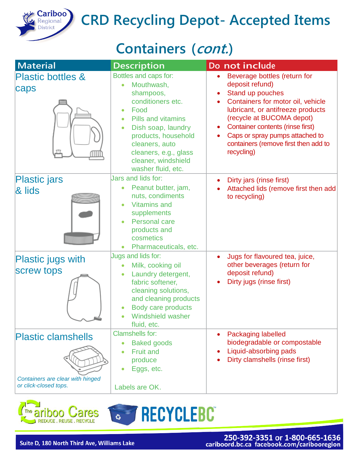

# **Cariboo CRD Recycling Depot- Accepted Items**

### **Containers (cont.)**

| <b>Material</b>                                                                        | <b>Description</b>                                                                                                                                                                                                                                                                     | Do not include                                                                                                                                                                                                                                                                                          |
|----------------------------------------------------------------------------------------|----------------------------------------------------------------------------------------------------------------------------------------------------------------------------------------------------------------------------------------------------------------------------------------|---------------------------------------------------------------------------------------------------------------------------------------------------------------------------------------------------------------------------------------------------------------------------------------------------------|
| <b>Plastic bottles &amp;</b><br>caps                                                   | Bottles and caps for:<br>Mouthwash,<br>$\bullet$<br>shampoos,<br>conditioners etc.<br>Food<br><b>Pills and vitamins</b><br>$\bullet$<br>Dish soap, laundry<br>$\bullet$<br>products, household<br>cleaners, auto<br>cleaners, e.g., glass<br>cleaner, windshield<br>washer fluid, etc. | Beverage bottles (return for<br>deposit refund)<br>Stand up pouches<br>Containers for motor oil, vehicle<br>lubricant, or antifreeze products<br>(recycle at BUCOMA depot)<br>Container contents (rinse first)<br>Caps or spray pumps attached to<br>containers (remove first then add to<br>recycling) |
| <b>Plastic jars</b><br>& lids<br><b>IN BELIEVE AND LONGITARY</b>                       | Jars and lids for:<br>Peanut butter, jam,<br>$\bullet$<br>nuts, condiments<br><b>Vitamins and</b><br>supplements<br>Personal care<br>products and<br>cosmetics<br>Pharmaceuticals, etc.<br>$\bullet$                                                                                   | Dirty jars (rinse first)<br>Attached lids (remove first then add<br>to recycling)                                                                                                                                                                                                                       |
| <b>Plastic jugs with</b><br><b>Screw tops</b>                                          | Jugs and lids for:<br>Milk, cooking oil<br>Laundry detergent,<br>$\bullet$<br>fabric softener,<br>cleaning solutions,<br>and cleaning products<br>Body care products<br><b>Windshield washer</b><br>fluid, etc.                                                                        | Jugs for flavoured tea, juice,<br>$\bullet$<br>other beverages (return for<br>deposit refund)<br>Dirty jugs (rinse first)                                                                                                                                                                               |
| <b>Plastic clamshells</b><br>Containers are clear with hinged<br>or click-closed tops. | <b>Clamshells for:</b><br><b>Baked goods</b><br>$\bullet$<br><b>Fruit and</b><br>$\bullet$<br>produce<br>Eggs, etc.<br>Labels are OK.                                                                                                                                                  | Packaging labelled<br>biodegradable or compostable<br>Liquid-absorbing pads<br>Dirty clamshells (rinse first)                                                                                                                                                                                           |



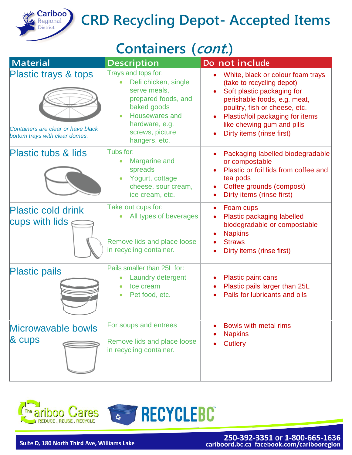

# **Cariboo CRD Recycling Depot- Accepted Items**

### **Containers (cont.)**

| <b>Material</b>                                                                              | <b>Description</b>                                                                                                                                                        | Do not include                                                                                                                                                                                                                                               |
|----------------------------------------------------------------------------------------------|---------------------------------------------------------------------------------------------------------------------------------------------------------------------------|--------------------------------------------------------------------------------------------------------------------------------------------------------------------------------------------------------------------------------------------------------------|
| Plastic trays & tops<br>Containers are clear or have black<br>bottom trays with clear domes. | Trays and tops for:<br>Deli chicken, single<br>serve meals,<br>prepared foods, and<br>baked goods<br>Housewares and<br>hardware, e.g.<br>screws, picture<br>hangers, etc. | White, black or colour foam trays<br>(take to recycling depot)<br>Soft plastic packaging for<br>perishable foods, e.g. meat,<br>poultry, fish or cheese, etc.<br>Plastic/foil packaging for items<br>like chewing gum and pills<br>Dirty items (rinse first) |
| <b>Plastic tubs &amp; lids</b>                                                               | Tubs for:<br>Margarine and<br>spreads<br>Yogurt, cottage<br>cheese, sour cream,<br>ice cream, etc.                                                                        | Packaging labelled biodegradable<br>or compostable<br>Plastic or foil lids from coffee and<br>tea pods<br>Coffee grounds (compost)<br>Dirty items (rinse first)                                                                                              |
| <b>Plastic cold drink</b><br>cups with lids                                                  | Take out cups for:<br>All types of beverages<br>Remove lids and place loose<br>in recycling container.                                                                    | Foam cups<br>$\bullet$<br>Plastic packaging labelled<br>biodegradable or compostable<br><b>Napkins</b><br><b>Straws</b><br>Dirty items (rinse first)                                                                                                         |
| <b>Plastic pails</b>                                                                         | Pails smaller than 25L for:<br>Laundry detergent<br>Ice cream<br>Pet food, etc.                                                                                           | <b>Plastic paint cans</b><br>Plastic pails larger than 25L<br>Pails for lubricants and oils                                                                                                                                                                  |
| Microwavable bowls<br>$\&$ cups                                                              | For soups and entrees<br>Remove lids and place loose<br>in recycling container.                                                                                           | <b>Bowls with metal rims</b><br><b>Napkins</b><br><b>Cutlery</b>                                                                                                                                                                                             |



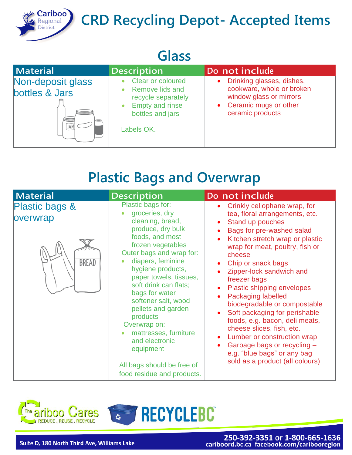

# **Cariboo CRD Recycling Depot- Accepted Items**

#### **Glass**

| Material                            | <b>Description</b>                                                                                                                                             | Do not include                                                                                                                                |
|-------------------------------------|----------------------------------------------------------------------------------------------------------------------------------------------------------------|-----------------------------------------------------------------------------------------------------------------------------------------------|
| Non-deposit glass<br>bottles & Jars | <b>Clear or coloured</b><br>$\bullet$<br><b>Remove lids and</b><br>recycle separately<br><b>Empty and rinse</b><br>$\bullet$<br>bottles and jars<br>Labels OK. | Drinking glasses, dishes,<br>$\bullet$<br>cookware, whole or broken<br>window glass or mirrors<br>• Ceramic mugs or other<br>ceramic products |

### **Plastic Bags and Overwrap**

| <b>Material</b>                            | <b>Description</b>                                                                                                                                                                                                                                                                                                                                                                                                                                           | Do not include                                                                                                                                                                                                                                                                                                                                                                                                                                                                                                                                                                               |
|--------------------------------------------|--------------------------------------------------------------------------------------------------------------------------------------------------------------------------------------------------------------------------------------------------------------------------------------------------------------------------------------------------------------------------------------------------------------------------------------------------------------|----------------------------------------------------------------------------------------------------------------------------------------------------------------------------------------------------------------------------------------------------------------------------------------------------------------------------------------------------------------------------------------------------------------------------------------------------------------------------------------------------------------------------------------------------------------------------------------------|
| Plastic bags &<br>overwrap<br><b>BREAD</b> | Plastic bags for:<br>groceries, dry<br>cleaning, bread,<br>produce, dry bulk<br>foods, and most<br>frozen vegetables<br>Outer bags and wrap for:<br>diapers, feminine<br>hygiene products,<br>paper towels, tissues,<br>soft drink can flats;<br>bags for water<br>softener salt, wood<br>pellets and garden<br>products<br>Overwrap on:<br>mattresses, furniture<br>and electronic<br>equipment<br>All bags should be free of<br>food residue and products. | Crinkly cellophane wrap, for<br>tea, floral arrangements, etc.<br>Stand up pouches<br>Bags for pre-washed salad<br>Kitchen stretch wrap or plastic<br>wrap for meat, poultry, fish or<br>cheese<br>Chip or snack bags<br>Zipper-lock sandwich and<br>freezer bags<br>Plastic shipping envelopes<br><b>Packaging labelled</b><br>biodegradable or compostable<br>Soft packaging for perishable<br>foods, e.g. bacon, deli meats,<br>cheese slices, fish, etc.<br>Lumber or construction wrap<br>Garbage bags or recycling -<br>e.g. "blue bags" or any bag<br>sold as a product (all colours) |